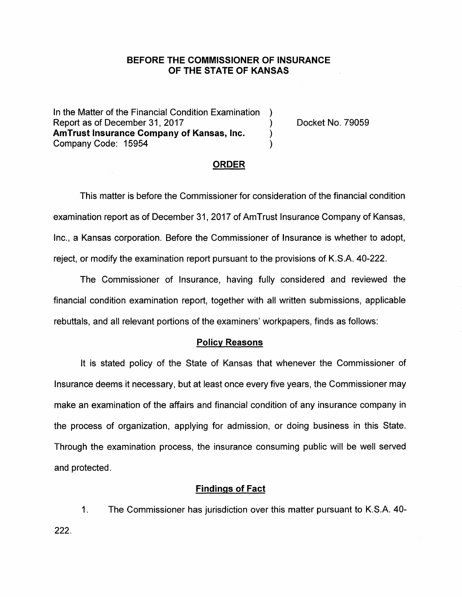## **BEFORE THE COMMISSIONER OF INSURANCE OF THE STATE OF KANSAS**

In the Matter of the Financial Condition Examination ) Report as of December 31, 2017 (and the control of the Docket No. 79059) **AmTrust Insurance Company of Kansas, Inc.** ) Company Code: 15954 )

### **ORDER**

This matter is before the Commissioner for consideration of the financial condition examination report as of December 31, 2017 of AmTrust Insurance Company of Kansas, Inc., a Kansas corporation. Before the Commissioner of Insurance is whether to adopt, reject, or modify the examination report pursuant to the provisions of K.S.A. 40-222.

The Commissioner of Insurance, having fully considered and reviewed the financial condition examination report, together with all written submissions, applicable rebuttals, and all relevant portions of the examiners' workpapers, finds as follows:

#### **Policy Reasons**

It is stated policy of the State of Kansas that whenever the Commissioner of Insurance deems it necessary, but at least once every five years, the Commissioner may make an examination of the affairs and financial condition of any insurance company in the process of organization, applying for admission, or doing business in this State. Through the examination process, the insurance consuming public will be well served and protected.

#### **Findings of Fact**

1. The Commissioner has jurisdiction over this matter pursuant to K.S.A. 40- 222.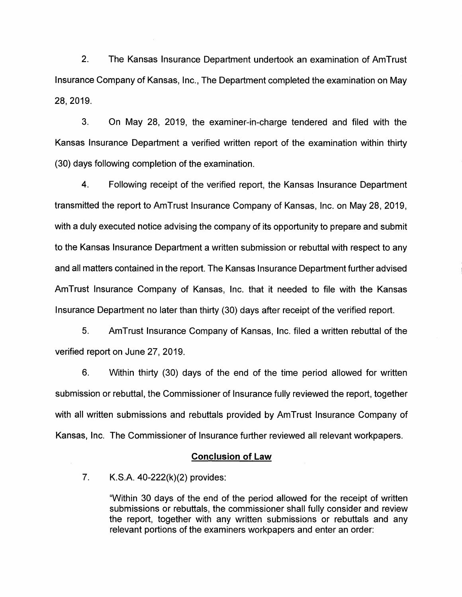2. The Kansas Insurance Department undertook an examination of AmTrust Insurance Company of Kansas, Inc., The Department completed the examination on May 28, 2019.

3. On May 28, 2019, the examiner-in-charge tendered and filed with the Kansas Insurance Department a verified written report of the examination within thirty (30) days following completion of the examination.

4. Following receipt of the verified report, the Kansas Insurance Department transmitted the report to AmTrust Insurance Company of Kansas, Inc. on May 28, 2019, with a duly executed notice advising the company of its opportunity to prepare and submit to the Kansas Insurance Department a written submission or rebuttal with respect to any and all matters contained in the report. The Kansas Insurance Department further advised AmTrust Insurance Company of Kansas, Inc. that it needed to file with the Kansas Insurance Department no later than thirty (30) days after receipt of the verified report.

5. AmTrust Insurance Company of Kansas, Inc. filed a written rebuttal of the verified report on June 27, 2019.

6. Within thirty (30) days of the end of the time period allowed for written submission or rebuttal, the Commissioner of Insurance fully reviewed the report, together with all written submissions and rebuttals provided by AmTrust Insurance Company of Kansas, Inc. The Commissioner of Insurance further reviewed all relevant workpapers.

#### **Conclusion of Law**

7. K.S.A. 40-222(k)(2) provides:

"Within 30 days of the end of the period allowed for the receipt of written submissions or rebuttals, the commissioner shall fully consider and review the report, together with any written submissions or rebuttals and any relevant portions of the examiners workpapers and enter an order: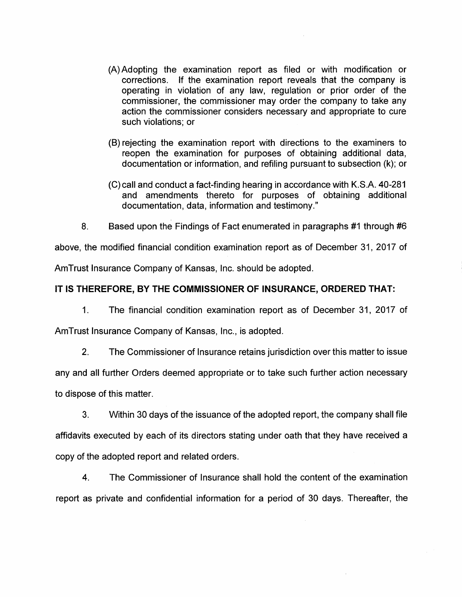- (A) Adopting the examination report as filed or with modification or corrections. If the examination report reveals that the company is operating in violation of any law, regulation or prior order of the commissioner, the commissioner may order the company to take any action the commissioner considers necessary and appropriate to cure such violations; or
- (B) rejecting the examination report with directions to the examiners to reopen the examination for purposes of obtaining additional data, documentation or information, and refiling pursuant to subsection (k); or
- (C) call and conduct a fact-finding hearing in accordance with K.S.A. 40-281 and amendments thereto for purposes of obtaining additional documentation, data, information and testimony."
- 8. Based upon the Findings of Fact enumerated in paragraphs #1 through #6

above, the modified financial condition examination report as of December 31, 2017 of AmTrust Insurance Company of Kansas, Inc. should be adopted.

# **IT IS THEREFORE, BY THE COMMISSIONER OF INSURANCE, ORDERED THAT:**

1. The financial condition examination report as of December 31, 2017 of

AmTrust Insurance Company of Kansas, Inc., is adopted.

2. The Commissioner of Insurance retains jurisdiction over this matter to issue

any and all further Orders deemed appropriate or to take such further action necessary to dispose of this matter.

3. Within 30 days of the issuance of the adopted report, the company shall file affidavits executed by each of its directors stating under oath that they have received a copy of the adopted report and related orders.

4. The Commissioner of Insurance shall hold the content of the examination report as private and confidential information for a period of 30 days. Thereafter, the